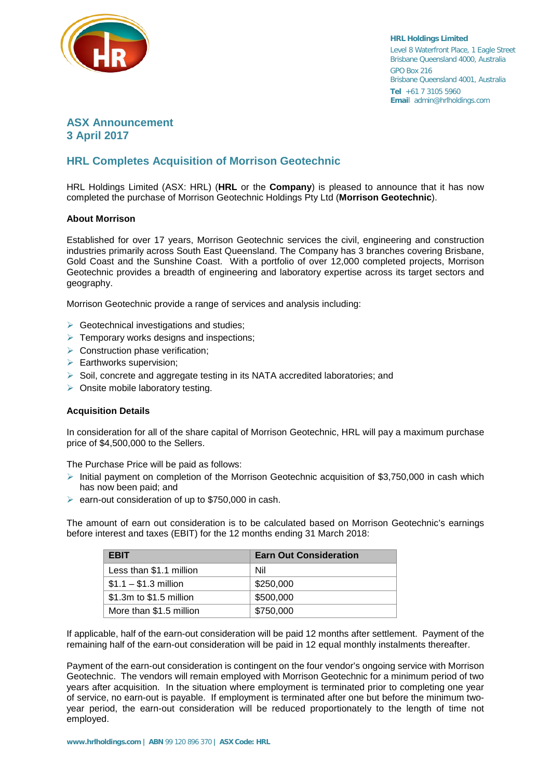

**HRL Holdings Limited** Level 8 Waterfront Place, 1 Eagle Street Brisbane Queensland 4000, Australia GPO Box 216 Brisbane Queensland 4001, Australia **Tel** +61 7 3105 5960 **Emai**l admin@hrlholdings.com

## **ASX Announcement 3 April 2017**

# **HRL Completes Acquisition of Morrison Geotechnic**

HRL Holdings Limited (ASX: HRL) (**HRL** or the **Company**) is pleased to announce that it has now completed the purchase of Morrison Geotechnic Holdings Pty Ltd (**Morrison Geotechnic**).

#### **About Morrison**

Established for over 17 years, Morrison Geotechnic services the civil, engineering and construction industries primarily across South East Queensland. The Company has 3 branches covering Brisbane, Gold Coast and the Sunshine Coast. With a portfolio of over 12,000 completed projects, Morrison Geotechnic provides a breadth of engineering and laboratory expertise across its target sectors and geography.

Morrison Geotechnic provide a range of services and analysis including:

- $\triangleright$  Geotechnical investigations and studies;
- $\triangleright$  Temporary works designs and inspections;
- $\triangleright$  Construction phase verification;
- $\triangleright$  Earthworks supervision;
- $\triangleright$  Soil, concrete and aggregate testing in its NATA accredited laboratories; and
- $\triangleright$  Onsite mobile laboratory testing.

#### **Acquisition Details**

In consideration for all of the share capital of Morrison Geotechnic, HRL will pay a maximum purchase price of \$4,500,000 to the Sellers.

The Purchase Price will be paid as follows:

- Initial payment on completion of the Morrison Geotechnic acquisition of \$3,750,000 in cash which has now been paid; and
- $\triangleright$  earn-out consideration of up to \$750,000 in cash.

The amount of earn out consideration is to be calculated based on Morrison Geotechnic's earnings before interest and taxes (EBIT) for the 12 months ending 31 March 2018:

| <b>EBIT</b>             | <b>Earn Out Consideration</b> |
|-------------------------|-------------------------------|
| Less than \$1.1 million | Nil                           |
| $$1.1 - $1.3$ million   | \$250,000                     |
| \$1.3m to \$1.5 million | \$500,000                     |
| More than \$1.5 million | \$750,000                     |

If applicable, half of the earn-out consideration will be paid 12 months after settlement. Payment of the remaining half of the earn-out consideration will be paid in 12 equal monthly instalments thereafter.

Payment of the earn-out consideration is contingent on the four vendor's ongoing service with Morrison Geotechnic. The vendors will remain employed with Morrison Geotechnic for a minimum period of two years after acquisition. In the situation where employment is terminated prior to completing one year of service, no earn-out is payable. If employment is terminated after one but before the minimum twoyear period, the earn-out consideration will be reduced proportionately to the length of time not employed.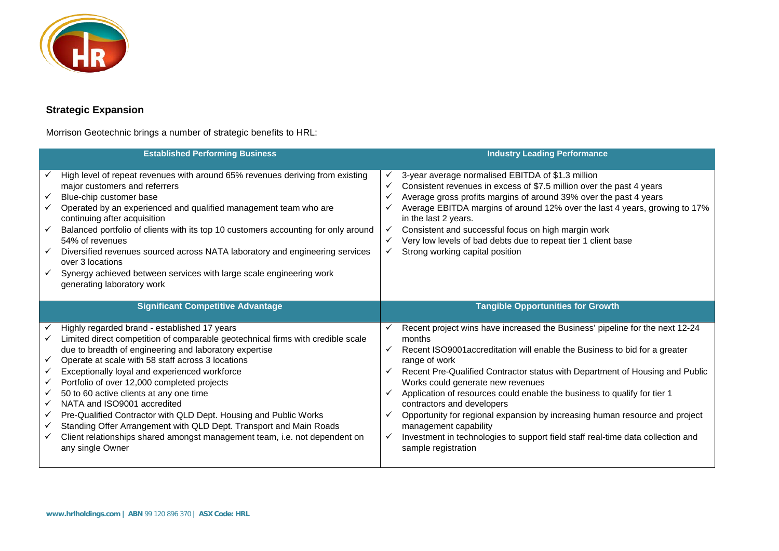

# **Strategic Expansion**

Morrison Geotechnic brings a number of strategic benefits to HRL:

|                            | <b>Established Performing Business</b>                                                                                                                                                                                                                                                                                                                                                                                                                                                                                                                                                                                                                               |                                                              | <b>Industry Leading Performance</b>                                                                                                                                                                                                                                                                                                                                                                                                                                                                                                                                                                                                    |
|----------------------------|----------------------------------------------------------------------------------------------------------------------------------------------------------------------------------------------------------------------------------------------------------------------------------------------------------------------------------------------------------------------------------------------------------------------------------------------------------------------------------------------------------------------------------------------------------------------------------------------------------------------------------------------------------------------|--------------------------------------------------------------|----------------------------------------------------------------------------------------------------------------------------------------------------------------------------------------------------------------------------------------------------------------------------------------------------------------------------------------------------------------------------------------------------------------------------------------------------------------------------------------------------------------------------------------------------------------------------------------------------------------------------------------|
| ✓<br>✓<br>✓<br>✓           | High level of repeat revenues with around 65% revenues deriving from existing<br>major customers and referrers<br>Blue-chip customer base<br>Operated by an experienced and qualified management team who are<br>continuing after acquisition<br>Balanced portfolio of clients with its top 10 customers accounting for only around<br>54% of revenues<br>Diversified revenues sourced across NATA laboratory and engineering services<br>over 3 locations<br>Synergy achieved between services with large scale engineering work<br>generating laboratory work                                                                                                      | ✓<br>$\checkmark$<br>$\checkmark$<br>$\checkmark$<br>✓<br>✓  | 3-year average normalised EBITDA of \$1.3 million<br>Consistent revenues in excess of \$7.5 million over the past 4 years<br>Average gross profits margins of around 39% over the past 4 years<br>Average EBITDA margins of around 12% over the last 4 years, growing to 17%<br>in the last 2 years.<br>Consistent and successful focus on high margin work<br>Very low levels of bad debts due to repeat tier 1 client base<br>Strong working capital position                                                                                                                                                                        |
|                            | <b>Significant Competitive Advantage</b>                                                                                                                                                                                                                                                                                                                                                                                                                                                                                                                                                                                                                             |                                                              | <b>Tangible Opportunities for Growth</b>                                                                                                                                                                                                                                                                                                                                                                                                                                                                                                                                                                                               |
|                            |                                                                                                                                                                                                                                                                                                                                                                                                                                                                                                                                                                                                                                                                      |                                                              |                                                                                                                                                                                                                                                                                                                                                                                                                                                                                                                                                                                                                                        |
| ✓<br>✓<br>✓<br>✓<br>✓<br>✓ | Highly regarded brand - established 17 years<br>Limited direct competition of comparable geotechnical firms with credible scale<br>due to breadth of engineering and laboratory expertise<br>Operate at scale with 58 staff across 3 locations<br>Exceptionally loyal and experienced workforce<br>Portfolio of over 12,000 completed projects<br>50 to 60 active clients at any one time<br>NATA and ISO9001 accredited<br>Pre-Qualified Contractor with QLD Dept. Housing and Public Works<br>Standing Offer Arrangement with QLD Dept. Transport and Main Roads<br>Client relationships shared amongst management team, i.e. not dependent on<br>any single Owner | $\checkmark$<br>$\checkmark$<br>$\checkmark$<br>$\checkmark$ | Recent project wins have increased the Business' pipeline for the next 12-24<br>months<br>Recent ISO9001 accreditation will enable the Business to bid for a greater<br>range of work<br>Recent Pre-Qualified Contractor status with Department of Housing and Public<br>Works could generate new revenues<br>Application of resources could enable the business to qualify for tier 1<br>contractors and developers<br>Opportunity for regional expansion by increasing human resource and project<br>management capability<br>Investment in technologies to support field staff real-time data collection and<br>sample registration |